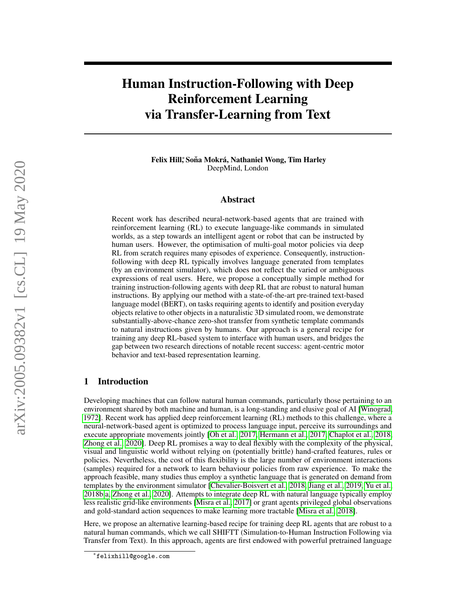# Human Instruction-Following with Deep Reinforcement Learning via Transfer-Learning from Text

Felix Hill,\*Soňa Mokrá, Nathaniel Wong, Tim Harley DeepMind, London

## Abstract

Recent work has described neural-network-based agents that are trained with reinforcement learning (RL) to execute language-like commands in simulated worlds, as a step towards an intelligent agent or robot that can be instructed by human users. However, the optimisation of multi-goal motor policies via deep RL from scratch requires many episodes of experience. Consequently, instructionfollowing with deep RL typically involves language generated from templates (by an environment simulator), which does not reflect the varied or ambiguous expressions of real users. Here, we propose a conceptually simple method for training instruction-following agents with deep RL that are robust to natural human instructions. By applying our method with a state-of-the-art pre-trained text-based language model (BERT), on tasks requiring agents to identify and position everyday objects relative to other objects in a naturalistic 3D simulated room, we demonstrate substantially-above-chance zero-shot transfer from synthetic template commands to natural instructions given by humans. Our approach is a general recipe for training any deep RL-based system to interface with human users, and bridges the gap between two research directions of notable recent success: agent-centric motor behavior and text-based representation learning.

# 1 Introduction

Developing machines that can follow natural human commands, particularly those pertaining to an environment shared by both machine and human, is a long-standing and elusive goal of AI [\[Winograd,](#page-12-0) [1972\]](#page-12-0). Recent work has applied deep reinforcement learning (RL) methods to this challenge, where a neural-network-based agent is optimized to process language input, perceive its surroundings and execute appropriate movements jointly [\[Oh et al., 2017,](#page-11-0) [Hermann et al., 2017,](#page-10-0) [Chaplot et al., 2018,](#page-10-1) [Zhong et al., 2020\]](#page-12-1). Deep RL promises a way to deal flexibly with the complexity of the physical, visual and linguistic world without relying on (potentially brittle) hand-crafted features, rules or policies. Nevertheless, the cost of this flexibility is the large number of environment interactions (samples) required for a network to learn behaviour policies from raw experience. To make the approach feasible, many studies thus employ a synthetic language that is generated on demand from templates by the environment simulator [\[Chevalier-Boisvert et al., 2018,](#page-10-2) [Jiang et al., 2019,](#page-10-3) [Yu et al.,](#page-12-2) [2018b](#page-12-2)[,a,](#page-12-3) [Zhong et al., 2020\]](#page-12-1). Attempts to integrate deep RL with natural language typically employ less realistic grid-like environments [\[Misra et al., 2017\]](#page-11-1) or grant agents privileged global observations and gold-standard action sequences to make learning more tractable [\[Misra et al., 2018\]](#page-11-2).

Here, we propose an alternative learning-based recipe for training deep RL agents that are robust to a natural human commands, which we call SHIFTT (Simulation-to-Human Instruction Following via Transfer from Text). In this approach, agents are first endowed with powerful pretrained language

<sup>∗</sup> felixhill@google.com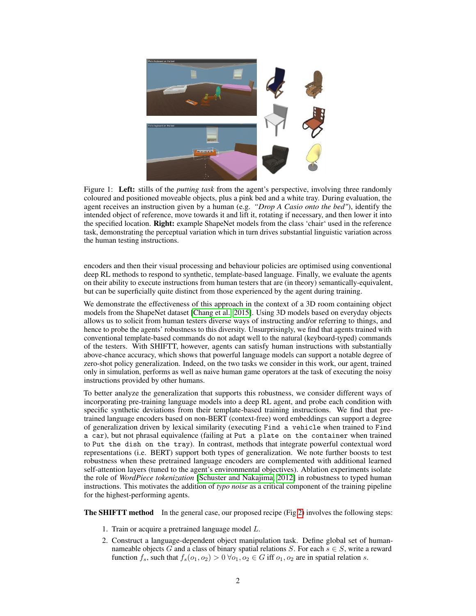

Figure 1: Left: stills of the *putting task* from the agent's perspective, involving three randomly coloured and positioned moveable objects, plus a pink bed and a white tray. During evaluation, the agent receives an instruction given by a human (e.g. *"Drop A Casio onto the bed"*), identify the intended object of reference, move towards it and lift it, rotating if necessary, and then lower it into the specified location. **Right:** example ShapeNet models from the class 'chair' used in the reference task, demonstrating the perceptual variation which in turn drives substantial linguistic variation across the human testing instructions.

encoders and then their visual processing and behaviour policies are optimised using conventional deep RL methods to respond to synthetic, template-based language. Finally, we evaluate the agents on their ability to execute instructions from human testers that are (in theory) semantically-equivalent, but can be superficially quite distinct from those experienced by the agent during training.

We demonstrate the effectiveness of this approach in the context of a 3D room containing object models from the ShapeNet dataset [\[Chang et al., 2015\]](#page-10-4). Using 3D models based on everyday objects allows us to solicit from human testers diverse ways of instructing and/or referring to things, and hence to probe the agents' robustness to this diversity. Unsurprisingly, we find that agents trained with conventional template-based commands do not adapt well to the natural (keyboard-typed) commands of the testers. With SHIFTT, however, agents can satisfy human instructions with substantially above-chance accuracy, which shows that powerful language models can support a notable degree of zero-shot policy generalization. Indeed, on the two tasks we consider in this work, our agent, trained only in simulation, performs as well as naive human game operators at the task of executing the noisy instructions provided by other humans.

To better analyze the generalization that supports this robustness, we consider different ways of incorporating pre-training language models into a deep RL agent, and probe each condition with specific synthetic deviations from their template-based training instructions. We find that pretrained language encoders based on non-BERT (context-free) word embeddings can support a degree of generalization driven by lexical similarity (executing Find a vehicle when trained to Find a car), but not phrasal equivalence (failing at Put a plate on the container when trained to Put the dish on the tray). In contrast, methods that integrate powerful contextual word representations (i.e. BERT) support both types of generalization. We note further boosts to test robustness when these pretrained language encoders are complemented with additional learned self-attention layers (tuned to the agent's environmental objectives). Ablation experiments isolate the role of *WordPiece tokenization* [\[Schuster and Nakajima, 2012\]](#page-11-3) in robustness to typed human instructions. This motivates the addition of *typo noise* as a critical component of the training pipeline for the highest-performing agents.

**The SHIFTT method** In the general case, our proposed recipe (Fig [2\)](#page-2-0) involves the following steps:

- 1. Train or acquire a pretrained language model L.
- 2. Construct a language-dependent object manipulation task. Define global set of humannameable objects G and a class of binary spatial relations S. For each  $s \in S$ , write a reward function  $f_s$ , such that  $f_s(o_1, o_2) > 0 \,\forall o_1, o_2 \in G$  iff  $o_1, o_2$  are in spatial relation s.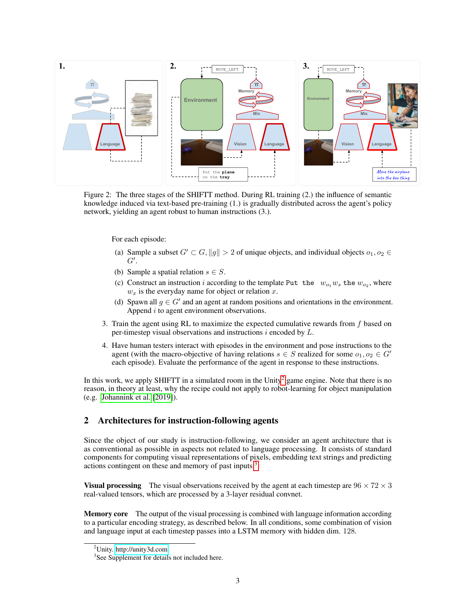<span id="page-2-0"></span>

Figure 2: The three stages of the SHIFTT method. During RL training (2.) the influence of semantic knowledge induced via text-based pre-training (1.) is gradually distributed across the agent's policy network, yielding an agent robust to human instructions (3.).

For each episode:

- (a) Sample a subset  $G' \subset G$ ,  $||g|| > 2$  of unique objects, and individual objects  $o_1, o_2 \in G$  $G^{\prime}$ .
- (b) Sample a spatial relation  $s \in S$ .
- (c) Construct an instruction i according to the template Put the  $w_{o_1}w_s$  the  $w_{o_2}$ , where  $w_x$  is the everyday name for object or relation  $x$ .
- (d) Spawn all  $g \in G'$  and an agent at random positions and orientations in the environment. Append  $i$  to agent environment observations.
- 3. Train the agent using RL to maximize the expected cumulative rewards from  $f$  based on per-timestep visual observations and instructions  $i$  encoded by  $L$ .
- 4. Have human testers interact with episodes in the environment and pose instructions to the agent (with the macro-objective of having relations  $s \in S$  realized for some  $o_1, o_2 \in G'$ each episode). Evaluate the performance of the agent in response to these instructions.

In this work, we apply SHIFTT in a simulated room in the  $\text{Unity}^2$  $\text{Unity}^2$  game engine. Note that there is no reason, in theory at least, why the recipe could not apply to robot-learning for object manipulation (e.g. [Johannink et al.](#page-10-5) [\[2019\]](#page-10-5)).

# 2 Architectures for instruction-following agents

Since the object of our study is instruction-following, we consider an agent architecture that is as conventional as possible in aspects not related to language processing. It consists of standard components for computing visual representations of pixels, embedding text strings and predicting actions contingent on these and memory of past inputs.<sup>[3](#page-2-2)</sup>

**Visual processing** The visual observations received by the agent at each timestep are  $96 \times 72 \times 3$ real-valued tensors, which are processed by a 3-layer residual convnet.

Memory core The output of the visual processing is combined with language information according to a particular encoding strategy, as described below. In all conditions, some combination of vision and language input at each timestep passes into a LSTM memory with hidden dim. 128.

<span id="page-2-1"></span><sup>2</sup>Unity. [http://unity3d.com.](http://unity3d.com)

<span id="page-2-2"></span><sup>&</sup>lt;sup>3</sup>See Supplement for details not included here.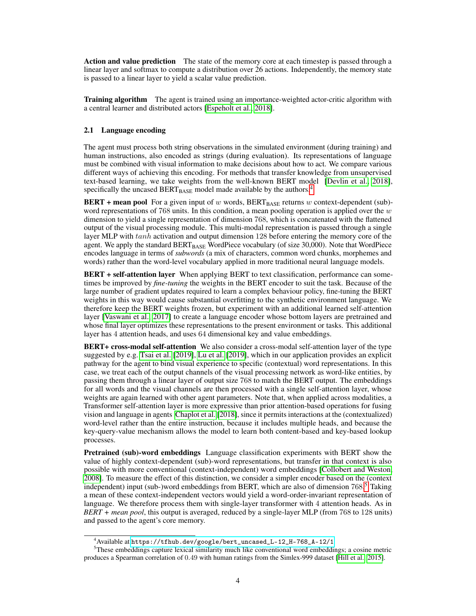Action and value prediction The state of the memory core at each timestep is passed through a linear layer and softmax to compute a distribution over 26 actions. Independently, the memory state is passed to a linear layer to yield a scalar value prediction.

**Training algorithm** The agent is trained using an importance-weighted actor-critic algorithm with a central learner and distributed actors [\[Espeholt et al., 2018\]](#page-10-6).

# 2.1 Language encoding

The agent must process both string observations in the simulated environment (during training) and human instructions, also encoded as strings (during evaluation). Its representations of language must be combined with visual information to make decisions about how to act. We compare various different ways of achieving this encoding. For methods that transfer knowledge from unsupervised text-based learning, we take weights from the well-known BERT model [\[Devlin et al., 2018\]](#page-10-7), specifically the uncased  $BERT_{BASE}$  model made available by the authors.<sup>[4](#page-3-0)</sup>

**BERT** + mean pool For a given input of w words, BERT<sub>BASE</sub> returns w context-dependent (sub)word representations of 768 units. In this condition, a mean pooling operation is applied over the  $w$ dimension to yield a single representation of dimension 768, which is concatenated with the flattened output of the visual processing module. This multi-modal representation is passed through a single layer MLP with  $tanh$  activation and output dimension 128 before entering the memory core of the agent. We apply the standard BERT<sub>BASE</sub> WordPiece vocabulary (of size 30,000). Note that WordPiece encodes language in terms of *subwords* (a mix of characters, common word chunks, morphemes and words) rather than the word-level vocabulary applied in more traditional neural language models.

**BERT** + self-attention layer When applying BERT to text classification, performance can sometimes be improved by *fine-tuning* the weights in the BERT encoder to suit the task. Because of the large number of gradient updates required to learn a complex behaviour policy, fine-tuning the BERT weights in this way would cause substantial overfitting to the synthetic environment language. We therefore keep the BERT weights frozen, but experiment with an additional learned self-attention layer [\[Vaswani et al., 2017\]](#page-11-4) to create a language encoder whose bottom layers are pretrained and whose final layer optimizes these representations to the present environment or tasks. This additional layer has 4 attention heads, and uses 64 dimensional key and value embeddings.

**BERT+ cross-modal self-attention** We also consider a cross-modal self-attention layer of the type suggested by e.g. [Tsai et al.](#page-11-5) [\[2019\]](#page-11-5), [Lu et al.](#page-11-6) [\[2019\]](#page-11-6), which in our application provides an explicit pathway for the agent to bind visual experience to specific (contextual) word representations. In this case, we treat each of the output channels of the visual processing network as word-like entities, by passing them through a linear layer of output size 768 to match the BERT output. The embeddings for all words and the visual channels are then processed with a single self-attention layer, whose weights are again learned with other agent parameters. Note that, when applied across modalities, a Transformer self-attention layer is more expressive than prior attention-based operations for fusing vision and language in agents [Chaplot et al.](#page-10-1) [\[2018\]](#page-10-1), since it permits interactions at the (contextualized) word-level rather than the entire instruction, because it includes multiple heads, and because the key-query-value mechanism allows the model to learn both content-based and key-based lookup processes.

Pretrained (sub)-word embeddings Language classification experiments with BERT show the value of highly context-dependent (sub)-word representations, but transfer in that context is also possible with more conventional (context-independent) word embeddings [\[Collobert and Weston,](#page-10-8) [2008\]](#page-10-8). To measure the effect of this distinction, we consider a simpler encoder based on the (context independent) input (sub-)word embeddings from BERT, which are also of dimension 768. [5](#page-3-1) Taking a mean of these context-independent vectors would yield a word-order-invariant representation of language. We therefore process them with single-layer transformer with 4 attention heads. As in *BERT + mean pool*, this output is averaged, reduced by a single-layer MLP (from 768 to 128 units) and passed to the agent's core memory.

<span id="page-3-1"></span><span id="page-3-0"></span><sup>4</sup>Available at [https://tfhub.dev/google/bert\\_uncased\\_L-12\\_H-768\\_A-12/1](https://tfhub.dev/google/bert_uncased_L-12_H-768_A-12/1)

<sup>5</sup>These embeddings capture lexical similarity much like conventional word embeddings; a cosine metric produces a Spearman correlation of 0.49 with human ratings from the Simlex-999 dataset [\[Hill et al., 2015\]](#page-10-9).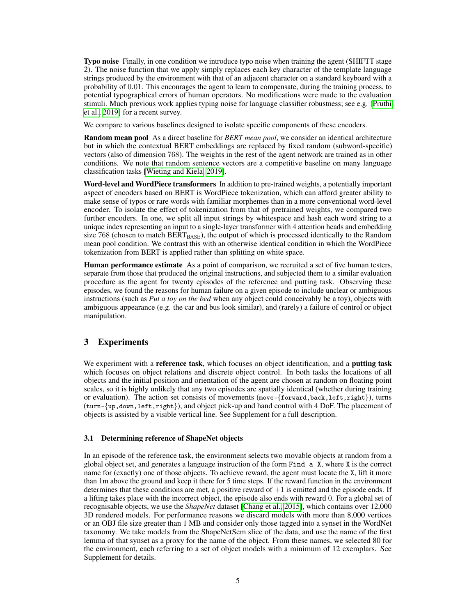Typo noise Finally, in one condition we introduce typo noise when training the agent (SHIFTT stage 2). The noise function that we apply simply replaces each key character of the template language strings produced by the environment with that of an adjacent character on a standard keyboard with a probability of 0.01. This encourages the agent to learn to compensate, during the training process, to potential typographical errors of human operators. No modifications were made to the evaluation stimuli. Much previous work applies typing noise for language classifier robustness; see e.g. [\[Pruthi](#page-11-7) [et al., 2019\]](#page-11-7) for a recent survey.

We compare to various baselines designed to isolate specific components of these encoders.

Random mean pool As a direct baseline for *BERT mean pool*, we consider an identical architecture but in which the contextual BERT embeddings are replaced by fixed random (subword-specific) vectors (also of dimension 768). The weights in the rest of the agent network are trained as in other conditions. We note that random sentence vectors are a competitive baseline on many language classification tasks [\[Wieting and Kiela, 2019\]](#page-11-8).

Word-level and WordPiece transformers In addition to pre-trained weights, a potentially important aspect of encoders based on BERT is WordPiece tokenization, which can afford greater ability to make sense of typos or rare words with familiar morphemes than in a more conventional word-level encoder. To isolate the effect of tokenization from that of pretrained weights, we compared two further encoders. In one, we split all input strings by whitespace and hash each word string to a unique index representing an input to a single-layer transformer with 4 attention heads and embedding size 768 (chosen to match  $BERT_{BASE}$ ), the output of which is processed identically to the Random mean pool condition. We contrast this with an otherwise identical condition in which the WordPiece tokenization from BERT is applied rather than splitting on white space.

Human performance estimate As a point of comparison, we recruited a set of five human testers, separate from those that produced the original instructions, and subjected them to a similar evaluation procedure as the agent for twenty episodes of the reference and putting task. Observing these episodes, we found the reasons for human failure on a given episode to include unclear or ambiguous instructions (such as *Put a toy on the bed* when any object could conceivably be a toy), objects with ambiguous appearance (e.g. the car and bus look similar), and (rarely) a failure of control or object manipulation.

# 3 Experiments

We experiment with a **reference task**, which focuses on object identification, and a **putting task** which focuses on object relations and discrete object control. In both tasks the locations of all objects and the initial position and orientation of the agent are chosen at random on floating point scales, so it is highly unlikely that any two episodes are spatially identical (whether during training or evaluation). The action set consists of movements (move-{forward,back,left,right}), turns (turn-{up,down,left,right}), and object pick-up and hand control with 4 DoF. The placement of objects is assisted by a visible vertical line. See Supplement for a full description.

#### 3.1 Determining reference of ShapeNet objects

In an episode of the reference task, the environment selects two movable objects at random from a global object set, and generates a language instruction of the form Find a X, where X is the correct name for (exactly) one of those objects. To achieve reward, the agent must locate the X, lift it more than 1m above the ground and keep it there for 5 time steps. If the reward function in the environment determines that these conditions are met, a positive reward of  $+1$  is emitted and the episode ends. If a lifting takes place with the incorrect object, the episode also ends with reward 0. For a global set of recognisable objects, we use the *ShapeNet* dataset [\[Chang et al., 2015\]](#page-10-4), which contains over 12,000 3D rendered models. For performance reasons we discard models with more than 8,000 vertices or an OBJ file size greater than 1 MB and consider only those tagged into a synset in the WordNet taxonomy. We take models from the ShapeNetSem slice of the data, and use the name of the first lemma of that synset as a proxy for the name of the object. From these names, we selected 80 for the environment, each referring to a set of object models with a minimum of 12 exemplars. See Supplement for details.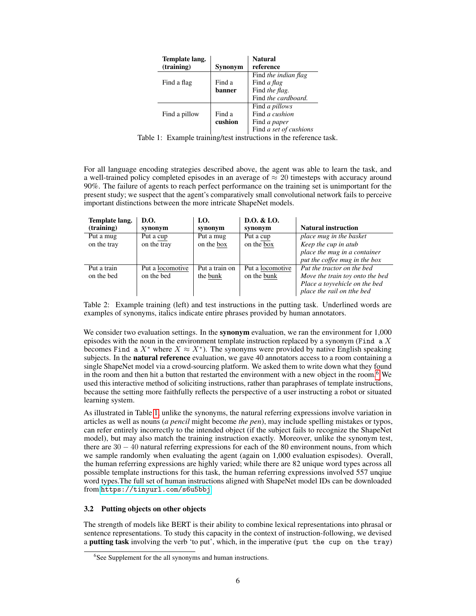<span id="page-5-1"></span>

| Template lang.<br>(training) | Synonym           | <b>Natural</b><br>reference                                                       |
|------------------------------|-------------------|-----------------------------------------------------------------------------------|
| Find a flag                  | Find a<br>banner  | Find the indian flag<br>Find a flag<br>Find the flag.<br>Find the cardboard.      |
| Find a pillow                | Find a<br>cushion | Find <i>a pillows</i><br>Find a cushion<br>Find a paper<br>Find a set of cushions |

Table 1: Example training/test instructions in the reference task.

For all language encoding strategies described above, the agent was able to learn the task, and a well-trained policy completed episodes in an average of  $\approx 20$  timesteps with accuracy around 90%. The failure of agents to reach perfect performance on the training set is unimportant for the present study; we suspect that the agent's comparatively small convolutional network fails to perceive important distinctions between the more intricate ShapeNet models.

<span id="page-5-2"></span>

| Template lang. | D.O.             | LO.            | D.0. & L.0.      |                                 |
|----------------|------------------|----------------|------------------|---------------------------------|
| (training)     | synonym          | synonym        | synonym          | <b>Natural instruction</b>      |
| Put a mug      | Put a cup        | Put a mug      | Put a cup        | place mug in the basket         |
| on the tray    | on the tray      | on the box     | on the box       | Keep the cup in atub            |
|                |                  |                |                  | place the mug in a container    |
|                |                  |                |                  | put the coffee mug in the box   |
| Put a train    | Put a locomotive | Put a train on | Put a locomotive | Put the tractor on the bed      |
| on the bed     | on the bed       | the bunk       | on the bunk      | Move the train toy onto the bed |
|                |                  |                |                  | Place a toyvehicle on the bed   |
|                |                  |                |                  | place the rail on tthe bed      |

Table 2: Example training (left) and test instructions in the putting task. Underlined words are examples of synonyms, italics indicate entire phrases provided by human annotators.

We consider two evaluation settings. In the **synonym** evaluation, we ran the environment for 1,000 episodes with the noun in the environment template instruction replaced by a synonym (Find  $\alpha$  X becomes Find a  $X^*$  where  $X \approx X^*$ ). The synonyms were provided by native English speaking subjects. In the natural reference evaluation, we gave 40 annotators access to a room containing a single ShapeNet model via a crowd-sourcing platform. We asked them to write down what they found in the room and then hit a button that restarted the environment with a new object in the room.<sup>[6](#page-5-0)</sup> We used this interactive method of soliciting instructions, rather than paraphrases of template instructions, because the setting more faithfully reflects the perspective of a user instructing a robot or situated learning system.

As illustrated in Table [1,](#page-5-1) unlike the synonyms, the natural referring expressions involve variation in articles as well as nouns (*a pencil* might become *the pen*), may include spelling mistakes or typos, can refer entirely incorrectly to the intended object (if the subject fails to recognize the ShapeNet model), but may also match the training instruction exactly. Moreover, unlike the synonym test, there are 30 − 40 natural referring expressions for each of the 80 environment nouns, from which we sample randomly when evaluating the agent (again on 1,000 evaluation espisodes). Overall, the human referring expressions are highly varied; while there are 82 unique word types across all possible template instructions for this task, the human referring expressions involved 557 unqiue word types.The full set of human instructions aligned with ShapeNet model IDs can be downloaded from <https://tinyurl.com/s6u5bbj>

## 3.2 Putting objects on other objects

The strength of models like BERT is their ability to combine lexical representations into phrasal or sentence representations. To study this capacity in the context of instruction-following, we devised a putting task involving the verb 'to put', which, in the imperative (put the cup on the tray)

<span id="page-5-0"></span><sup>&</sup>lt;sup>6</sup>See Supplement for the all synonyms and human instructions.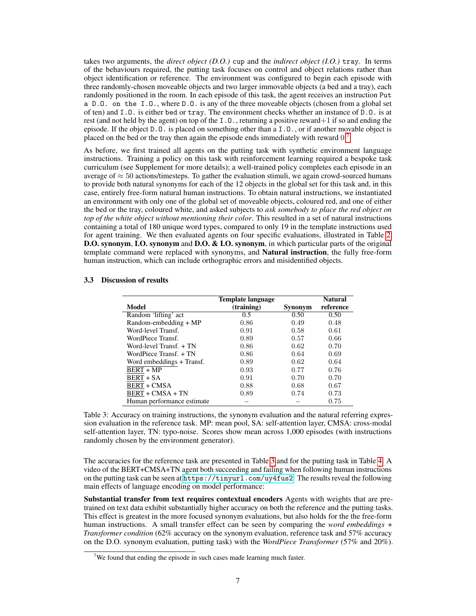takes two arguments, the *direct object (D.O.)* cup and the *indirect object (I.O.)* tray. In terms of the behaviours required, the putting task focuses on control and object relations rather than object identification or reference. The environment was configured to begin each episode with three randomly-chosen moveable objects and two larger immovable objects (a bed and a tray), each randomly positioned in the room. In each episode of this task, the agent receives an instruction Put a D.O. on the I.O., where D.O. is any of the three moveable objects (chosen from a global set of ten) and I.O. is either bed or tray. The environment checks whether an instance of D.O. is at rest (and not held by the agent) on top of the I.O., returning a positive reward+1 if so and ending the episode. If the object D.O. is placed on something other than a I.O., or if another movable object is placed on the bed or the tray then again the episode ends immediately with reward  $0.7$  $0.7$ 

As before, we first trained all agents on the putting task with synthetic environment language instructions. Training a policy on this task with reinforcement learning required a bespoke task curriculum (see Supplement for more details); a well-trained policy completes each episode in an average of  $\approx$  50 actions/timesteps. To gather the evaluation stimuli, we again crowd-sourced humans to provide both natural synonyms for each of the 12 objects in the global set for this task and, in this case, entirely free-form natural human instructions. To obtain natural instructions, we instantiated an environment with only one of the global set of moveable objects, coloured red, and one of either the bed or the tray, coloured white, and asked subjects to *ask somebody to place the red object on top of the white object without mentioning their color*. This resulted in a set of natural instructions containing a total of 180 unique word types, compared to only 19 in the template instructions used for agent training. We then evaluated agents on four specific evaluations, illustrated in Table [2:](#page-5-2) D.O. synonym, I.O. synonym and D.O. & I.O. synonym, in which particular parts of the original template command were replaced with synonyms, and **Natural instruction**, the fully free-form human instruction, which can include orthographic errors and misidentified objects.

#### Template language Natural Model (training) Synonym reference<br>Random lifting act 0.5 0.50 0.50 Random 'lifting' act 0.5 0.50 0.50 0.50<br>
Random-embedding + MP 0.86 0.49 0.48  $Random-embedding + MP$ Word-level Transf.  $0.91$  0.58 0.61 WordPiece Transf. 0.89 0.57 0.66 Word-level Transf. + TN 0.86 0.62 0.70 WordPiece Transf. + TN 0.86 0.64 0.69 Word embeddings + Transf. 0.89 0.62 0.64  $\overline{\text{BERT} + \text{MP}}$  0.93 0.77 0.76 BERT + SA 0.91 0.70 0.70  $BERT + CMSA$  0.88 0.68 0.67  $BERT + CMSA + TN$  0.89 0.74 0.73 Human performance estimate  $-$  0.75

#### <span id="page-6-1"></span>3.3 Discussion of results

Table 3: Accuracy on training instructions, the synonym evaluation and the natural referring expression evaluation in the reference task. MP: mean pool, SA: self-attention layer, CMSA: cross-modal self-attention layer, TN: typo-noise. Scores show mean across 1,000 episodes (with instructions randomly chosen by the environment generator).

The accuracies for the reference task are presented in Table [3](#page-6-1) and for the putting task in Table [4.](#page-7-0) A video of the BERT+CMSA+TN agent both succeeding and failing when following human instructions on the putting task can be seen at <https://tinyurl.com/uy4fus2>. The results reveal the following main effects of language encoding on model performance:

Substantial transfer from text requires contextual encoders Agents with weights that are pretrained on text data exhibit substantially higher accuracy on both the reference and the putting tasks. This effect is greatest in the more focused synonym evaluations, but also holds for the the free-form human instructions. A small transfer effect can be seen by comparing the *word embeddings + Transformer condition* (62% accuracy on the synonym evaluation, reference task and 57% accuracy on the D.O. synonym evaluation, putting task) with the *WordPiece Transformer* (57% and 20%).

<span id="page-6-0"></span><sup>&</sup>lt;sup>7</sup>We found that ending the episode in such cases made learning much faster.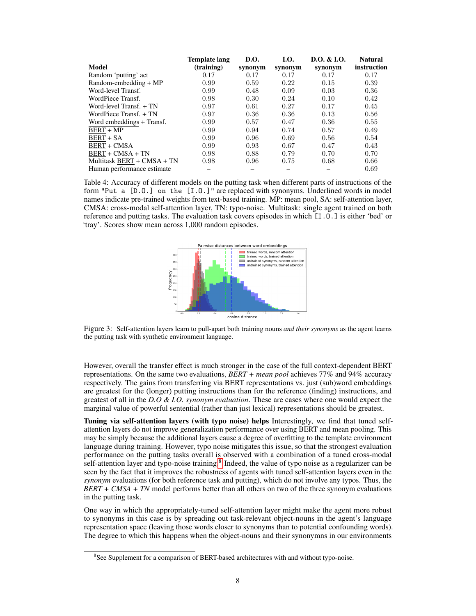<span id="page-7-0"></span>

|                            | Template lang | <b>D.O.</b> | I.O.    | D.O. & L.O. | <b>Natural</b> |
|----------------------------|---------------|-------------|---------|-------------|----------------|
| Model                      | (training)    | synonym     | synonym | synonym     | instruction    |
| Random 'putting' act       | 0.17          | 0.17        | 0.17    | 0.17        | 0.17           |
| Random-embedding $+ MP$    | 0.99          | 0.59        | 0.22    | 0.15        | 0.39           |
| Word-level Transf.         | 0.99          | 0.48        | 0.09    | 0.03        | 0.36           |
| WordPiece Transf.          | 0.98          | 0.30        | 0.24    | 0.10        | 0.42           |
| Word-level Transf. + TN    | 0.97          | 0.61        | 0.27    | 0.17        | 0.45           |
| WordPiece Transf. + TN     | 0.97          | 0.36        | 0.36    | 0.13        | 0.56           |
| Word embeddings + Transf.  | 0.99          | 0.57        | 0.47    | 0.36        | 0.55           |
| <b>BERT + MP</b>           | 0.99          | 0.94        | 0.74    | 0.57        | 0.49           |
| <b>BERT + SA</b>           | 0.99          | 0.96        | 0.69    | 0.56        | 0.54           |
| <b>BERT + CMSA</b>         | 0.99          | 0.93        | 0.67    | 0.47        | 0.43           |
| $BERT + CMSA + TN$         | 0.98          | 0.88        | 0.79    | 0.70        | 0.70           |
| Multitask BERT + CMSA + TN | 0.98          | 0.96        | 0.75    | 0.68        | 0.66           |
| Human performance estimate |               |             |         |             | 0.69           |

<span id="page-7-2"></span>Table 4: Accuracy of different models on the putting task when different parts of instructions of the form "Put a [D.O.] on the [I.O.]" are replaced with synonyms. Underlined words in model names indicate pre-trained weights from text-based training. MP: mean pool, SA: self-attention layer, CMSA: cross-modal self-attention layer, TN: typo-noise. Multitask: single agent trained on both reference and putting tasks. The evaluation task covers episodes in which [I.O.] is either 'bed' or 'tray'. Scores show mean across 1,000 random episodes.



Figure 3: Self-attention layers learn to pull-apart both training nouns *and their synonyms* as the agent learns the putting task with synthetic environment language.

However, overall the transfer effect is much stronger in the case of the full context-dependent BERT representations. On the same two evaluations, *BERT + mean pool* achieves 77% and 94% accuracy respectively. The gains from transferring via BERT representations vs. just (sub)word embeddings are greatest for the (longer) putting instructions than for the reference (finding) instructions, and greatest of all in the *D.O & I.O. synonym evaluation*. These are cases where one would expect the marginal value of powerful sentential (rather than just lexical) representations should be greatest.

Tuning via self-attention layers (with typo noise) helps Interestingly, we find that tuned selfattention layers do not improve generalization performance over using BERT and mean pooling. This may be simply because the additional layers cause a degree of overfitting to the template environment language during training. However, typo noise mitigates this issue, so that the strongest evaluation performance on the putting tasks overall is observed with a combination of a tuned cross-modal self-attention layer and typo-noise training.<sup>[8](#page-7-1)</sup> Indeed, the value of typo noise as a regularizer can be seen by the fact that it improves the robustness of agents with tuned self-attention layers even in the *synonym* evaluations (for both reference task and putting), which do not involve any typos. Thus, the *BERT + CMSA + TN* model performs better than all others on two of the three synonym evaluations in the putting task.

One way in which the appropriately-tuned self-attention layer might make the agent more robust to synonyms in this case is by spreading out task-relevant object-nouns in the agent's language representation space (leaving those words closer to synonyms than to potential confounding words). The degree to which this happens when the object-nouns and their synonymns in our environments

<span id="page-7-1"></span><sup>&</sup>lt;sup>8</sup>See Supplement for a comparison of BERT-based architectures with and without typo-noise.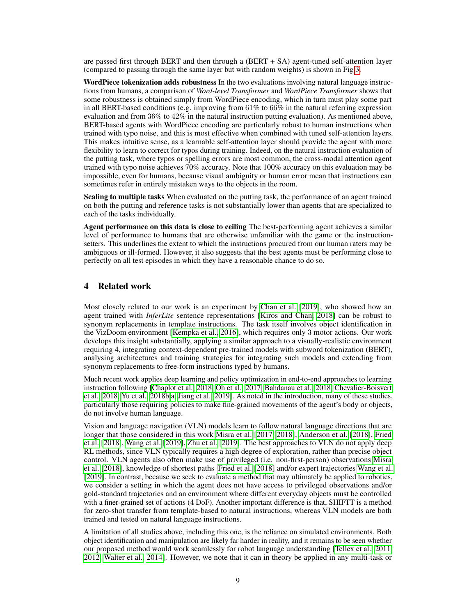are passed first through BERT and then through a (BERT + SA) agent-tuned self-attention layer (compared to passing through the same layer but with random weights) is shown in Fig [3.](#page-7-2)

WordPiece tokenization adds robustness In the two evaluations involving natural language instructions from humans, a comparison of *Word-level Transformer* and *WordPiece Transformer* shows that some robustness is obtained simply from WordPiece encoding, which in turn must play some part in all BERT-based conditions (e.g. improving from 61% to 66% in the natural referring expression evaluation and from 36% to 42% in the natural instruction putting evaluation). As mentioned above, BERT-based agents with WordPiece encoding are particularly robust to human instructions when trained with typo noise, and this is most effective when combined with tuned self-attention layers. This makes intuitive sense, as a learnable self-attention layer should provide the agent with more flexibility to learn to correct for typos during training. Indeed, on the natural instruction evaluation of the putting task, where typos or spelling errors are most common, the cross-modal attention agent trained with typo noise achieves 70% accuracy. Note that 100% accuracy on this evaluation may be impossible, even for humans, because visual ambiguity or human error mean that instructions can sometimes refer in entirely mistaken ways to the objects in the room.

Scaling to multiple tasks When evaluated on the putting task, the performance of an agent trained on both the putting and reference tasks is not substantially lower than agents that are specialized to each of the tasks individually.

Agent performance on this data is close to ceiling The best-performing agent achieves a similar level of performance to humans that are otherwise unfamiliar with the game or the instructionsetters. This underlines the extent to which the instructions procured from our human raters may be ambiguous or ill-formed. However, it also suggests that the best agents must be performing close to perfectly on all test episodes in which they have a reasonable chance to do so.

# 4 Related work

Most closely related to our work is an experiment by [Chan et al.](#page-9-0) [\[2019\]](#page-9-0), who showed how an agent trained with *InferLite* sentence representations [\[Kiros and Chan, 2018\]](#page-10-10) can be robust to synonym replacements in template instructions. The task itself involves object identification in the VizDoom environment [\[Kempka et al., 2016\]](#page-10-11), which requires only 3 motor actions. Our work develops this insight substantially, applying a similar approach to a visually-realistic environment requiring 4, integrating context-dependent pre-trained models with subword tokenization (BERT), analysing architectures and training strategies for integrating such models and extending from synonym replacements to free-form instructions typed by humans.

Much recent work applies deep learning and policy optimization in end-to-end approaches to learning instruction following [\[Chaplot et al., 2018,](#page-10-1) [Oh et al., 2017,](#page-11-0) [Bahdanau et al., 2018,](#page-9-1) [Chevalier-Boisvert](#page-10-2) [et al., 2018,](#page-10-2) [Yu et al., 2018b,](#page-12-2)[a,](#page-12-3) [Jiang et al., 2019\]](#page-10-3). As noted in the introduction, many of these studies, particularly those requiring policies to make fine-grained movements of the agent's body or objects, do not involve human language.

Vision and language navigation (VLN) models learn to follow natural language directions that are longer that those considered in this work [Misra et al.](#page-11-1) [\[2017,](#page-11-1) [2018\]](#page-11-2), [Anderson et al.](#page-9-2) [\[2018\]](#page-9-2), [Fried](#page-10-12) [et al.](#page-10-12) [\[2018\]](#page-10-12), [Wang et al.](#page-11-9) [\[2019\]](#page-11-9), [Zhu et al.](#page-12-4) [\[2019\]](#page-12-4). The best approaches to VLN do not apply deep RL methods, since VLN typically requires a high degree of exploration, rather than precise object control. VLN agents also often make use of privileged (i.e. non-first-person) observations [Misra](#page-11-2) [et al.](#page-11-2) [\[2018\]](#page-11-2), knowledge of shortest paths [Fried et al.](#page-10-12) [\[2018\]](#page-10-12) and/or expert trajectories [Wang et al.](#page-11-9) [\[2019\]](#page-11-9). In contrast, because we seek to evaluate a method that may ultimately be applied to robotics, we consider a setting in which the agent does not have access to privileged observations and/or gold-standard trajectories and an environment where different everyday objects must be controlled with a finer-grained set of actions (4 DoF). Another important difference is that, SHIFTT is a method for zero-shot transfer from template-based to natural instructions, whereas VLN models are both trained and tested on natural language instructions.

A limitation of all studies above, including this one, is the reliance on simulated environments. Both object identification and manipulation are likely far harder in reality, and it remains to be seen whether our proposed method would work seamlessly for robot language understanding [\[Tellex et al., 2011,](#page-11-10) [2012,](#page-11-11) [Walter et al., 2014\]](#page-11-12). However, we note that it can in theory be applied in any multi-task or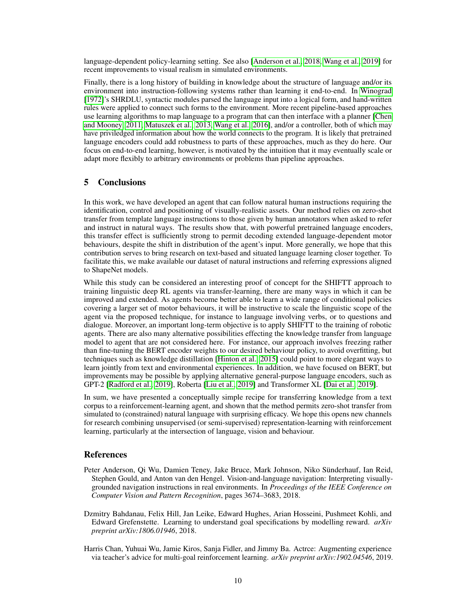language-dependent policy-learning setting. See also [\[Anderson et al., 2018,](#page-9-2) [Wang et al., 2019\]](#page-11-9) for recent improvements to visual realism in simulated environments.

Finally, there is a long history of building in knowledge about the structure of language and/or its environment into instruction-following systems rather than learning it end-to-end. In [Winograd](#page-12-0) [\[1972\]](#page-12-0)'s SHRDLU, syntactic modules parsed the language input into a logical form, and hand-written rules were applied to connect such forms to the environment. More recent pipeline-based approaches use learning algorithms to map language to a program that can then interface with a planner [\[Chen](#page-10-13) [and Mooney, 2011,](#page-10-13) [Matuszek et al., 2013,](#page-11-13) [Wang et al., 2016\]](#page-11-14), and/or a controller, both of which may have priviledged information about how the world connects to the program. It is likely that pretrained language encoders could add robustness to parts of these approaches, much as they do here. Our focus on end-to-end learning, however, is motivated by the intuition that it may eventually scale or adapt more flexibly to arbitrary environments or problems than pipeline approaches.

# 5 Conclusions

In this work, we have developed an agent that can follow natural human instructions requiring the identification, control and positioning of visually-realistic assets. Our method relies on zero-shot transfer from template language instructions to those given by human annotators when asked to refer and instruct in natural ways. The results show that, with powerful pretrained language encoders, this transfer effect is sufficiently strong to permit decoding extended language-dependent motor behaviours, despite the shift in distribution of the agent's input. More generally, we hope that this contribution serves to bring research on text-based and situated language learning closer together. To facilitate this, we make available our dataset of natural instructions and referring expressions aligned to ShapeNet models.

While this study can be considered an interesting proof of concept for the SHIFTT approach to training linguistic deep RL agents via transfer-learning, there are many ways in which it can be improved and extended. As agents become better able to learn a wide range of conditional policies covering a larger set of motor behaviours, it will be instructive to scale the linguistic scope of the agent via the proposed technique, for instance to language involving verbs, or to questions and dialogue. Moreover, an important long-term objective is to apply SHIFTT to the training of robotic agents. There are also many alternative possibilities effecting the knowledge transfer from language model to agent that are not considered here. For instance, our approach involves freezing rather than fine-tuning the BERT encoder weights to our desired behaviour policy, to avoid overfitting, but techniques such as knowledge distillation [\[Hinton et al., 2015\]](#page-10-14) could point to more elegant ways to learn jointly from text and environmental experiences. In addition, we have focused on BERT, but improvements may be possible by applying alternative general-purpose language encoders, such as GPT-2 [\[Radford et al., 2019\]](#page-11-15), Roberta [\[Liu et al., 2019\]](#page-11-16) and Transformer XL [\[Dai et al., 2019\]](#page-10-15).

In sum, we have presented a conceptually simple recipe for transferring knowledge from a text corpus to a reinforcement-learning agent, and shown that the method permits zero-shot transfer from simulated to (constrained) natural language with surprising efficacy. We hope this opens new channels for research combining unsupervised (or semi-supervised) representation-learning with reinforcement learning, particularly at the intersection of language, vision and behaviour.

## References

- <span id="page-9-2"></span>Peter Anderson, Qi Wu, Damien Teney, Jake Bruce, Mark Johnson, Niko Sünderhauf, Ian Reid, Stephen Gould, and Anton van den Hengel. Vision-and-language navigation: Interpreting visuallygrounded navigation instructions in real environments. In *Proceedings of the IEEE Conference on Computer Vision and Pattern Recognition*, pages 3674–3683, 2018.
- <span id="page-9-1"></span>Dzmitry Bahdanau, Felix Hill, Jan Leike, Edward Hughes, Arian Hosseini, Pushmeet Kohli, and Edward Grefenstette. Learning to understand goal specifications by modelling reward. *arXiv preprint arXiv:1806.01946*, 2018.
- <span id="page-9-0"></span>Harris Chan, Yuhuai Wu, Jamie Kiros, Sanja Fidler, and Jimmy Ba. Actrce: Augmenting experience via teacher's advice for multi-goal reinforcement learning. *arXiv preprint arXiv:1902.04546*, 2019.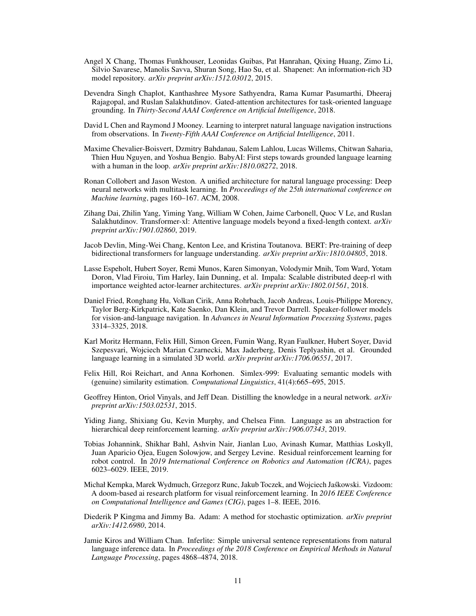- <span id="page-10-4"></span>Angel X Chang, Thomas Funkhouser, Leonidas Guibas, Pat Hanrahan, Qixing Huang, Zimo Li, Silvio Savarese, Manolis Savva, Shuran Song, Hao Su, et al. Shapenet: An information-rich 3D model repository. *arXiv preprint arXiv:1512.03012*, 2015.
- <span id="page-10-1"></span>Devendra Singh Chaplot, Kanthashree Mysore Sathyendra, Rama Kumar Pasumarthi, Dheeraj Rajagopal, and Ruslan Salakhutdinov. Gated-attention architectures for task-oriented language grounding. In *Thirty-Second AAAI Conference on Artificial Intelligence*, 2018.
- <span id="page-10-13"></span>David L Chen and Raymond J Mooney. Learning to interpret natural language navigation instructions from observations. In *Twenty-Fifth AAAI Conference on Artificial Intelligence*, 2011.
- <span id="page-10-2"></span>Maxime Chevalier-Boisvert, Dzmitry Bahdanau, Salem Lahlou, Lucas Willems, Chitwan Saharia, Thien Huu Nguyen, and Yoshua Bengio. BabyAI: First steps towards grounded language learning with a human in the loop. *arXiv preprint arXiv:1810.08272*, 2018.
- <span id="page-10-8"></span>Ronan Collobert and Jason Weston. A unified architecture for natural language processing: Deep neural networks with multitask learning. In *Proceedings of the 25th international conference on Machine learning*, pages 160–167. ACM, 2008.
- <span id="page-10-15"></span>Zihang Dai, Zhilin Yang, Yiming Yang, William W Cohen, Jaime Carbonell, Quoc V Le, and Ruslan Salakhutdinov. Transformer-xl: Attentive language models beyond a fixed-length context. *arXiv preprint arXiv:1901.02860*, 2019.
- <span id="page-10-7"></span>Jacob Devlin, Ming-Wei Chang, Kenton Lee, and Kristina Toutanova. BERT: Pre-training of deep bidirectional transformers for language understanding. *arXiv preprint arXiv:1810.04805*, 2018.
- <span id="page-10-6"></span>Lasse Espeholt, Hubert Soyer, Remi Munos, Karen Simonyan, Volodymir Mnih, Tom Ward, Yotam Doron, Vlad Firoiu, Tim Harley, Iain Dunning, et al. Impala: Scalable distributed deep-rl with importance weighted actor-learner architectures. *arXiv preprint arXiv:1802.01561*, 2018.
- <span id="page-10-12"></span>Daniel Fried, Ronghang Hu, Volkan Cirik, Anna Rohrbach, Jacob Andreas, Louis-Philippe Morency, Taylor Berg-Kirkpatrick, Kate Saenko, Dan Klein, and Trevor Darrell. Speaker-follower models for vision-and-language navigation. In *Advances in Neural Information Processing Systems*, pages 3314–3325, 2018.
- <span id="page-10-0"></span>Karl Moritz Hermann, Felix Hill, Simon Green, Fumin Wang, Ryan Faulkner, Hubert Soyer, David Szepesvari, Wojciech Marian Czarnecki, Max Jaderberg, Denis Teplyashin, et al. Grounded language learning in a simulated 3D world. *arXiv preprint arXiv:1706.06551*, 2017.
- <span id="page-10-9"></span>Felix Hill, Roi Reichart, and Anna Korhonen. Simlex-999: Evaluating semantic models with (genuine) similarity estimation. *Computational Linguistics*, 41(4):665–695, 2015.
- <span id="page-10-14"></span>Geoffrey Hinton, Oriol Vinyals, and Jeff Dean. Distilling the knowledge in a neural network. *arXiv preprint arXiv:1503.02531*, 2015.
- <span id="page-10-3"></span>Yiding Jiang, Shixiang Gu, Kevin Murphy, and Chelsea Finn. Language as an abstraction for hierarchical deep reinforcement learning. *arXiv preprint arXiv:1906.07343*, 2019.
- <span id="page-10-5"></span>Tobias Johannink, Shikhar Bahl, Ashvin Nair, Jianlan Luo, Avinash Kumar, Matthias Loskyll, Juan Aparicio Ojea, Eugen Solowjow, and Sergey Levine. Residual reinforcement learning for robot control. In *2019 International Conference on Robotics and Automation (ICRA)*, pages 6023–6029. IEEE, 2019.
- <span id="page-10-11"></span>Michał Kempka, Marek Wydmuch, Grzegorz Runc, Jakub Toczek, and Wojciech Jaskowski. Vizdoom: ´ A doom-based ai research platform for visual reinforcement learning. In *2016 IEEE Conference on Computational Intelligence and Games (CIG)*, pages 1–8. IEEE, 2016.
- <span id="page-10-16"></span>Diederik P Kingma and Jimmy Ba. Adam: A method for stochastic optimization. *arXiv preprint arXiv:1412.6980*, 2014.
- <span id="page-10-10"></span>Jamie Kiros and William Chan. Inferlite: Simple universal sentence representations from natural language inference data. In *Proceedings of the 2018 Conference on Empirical Methods in Natural Language Processing*, pages 4868–4874, 2018.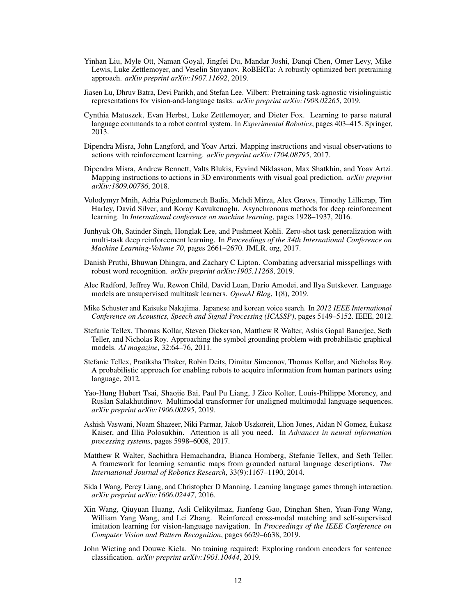- <span id="page-11-16"></span>Yinhan Liu, Myle Ott, Naman Goyal, Jingfei Du, Mandar Joshi, Danqi Chen, Omer Levy, Mike Lewis, Luke Zettlemoyer, and Veselin Stoyanov. RoBERTa: A robustly optimized bert pretraining approach. *arXiv preprint arXiv:1907.11692*, 2019.
- <span id="page-11-6"></span>Jiasen Lu, Dhruv Batra, Devi Parikh, and Stefan Lee. Vilbert: Pretraining task-agnostic visiolinguistic representations for vision-and-language tasks. *arXiv preprint arXiv:1908.02265*, 2019.
- <span id="page-11-13"></span>Cynthia Matuszek, Evan Herbst, Luke Zettlemoyer, and Dieter Fox. Learning to parse natural language commands to a robot control system. In *Experimental Robotics*, pages 403–415. Springer, 2013.
- <span id="page-11-1"></span>Dipendra Misra, John Langford, and Yoav Artzi. Mapping instructions and visual observations to actions with reinforcement learning. *arXiv preprint arXiv:1704.08795*, 2017.
- <span id="page-11-2"></span>Dipendra Misra, Andrew Bennett, Valts Blukis, Eyvind Niklasson, Max Shatkhin, and Yoav Artzi. Mapping instructions to actions in 3D environments with visual goal prediction. *arXiv preprint arXiv:1809.00786*, 2018.
- <span id="page-11-17"></span>Volodymyr Mnih, Adria Puigdomenech Badia, Mehdi Mirza, Alex Graves, Timothy Lillicrap, Tim Harley, David Silver, and Koray Kavukcuoglu. Asynchronous methods for deep reinforcement learning. In *International conference on machine learning*, pages 1928–1937, 2016.
- <span id="page-11-0"></span>Junhyuk Oh, Satinder Singh, Honglak Lee, and Pushmeet Kohli. Zero-shot task generalization with multi-task deep reinforcement learning. In *Proceedings of the 34th International Conference on Machine Learning-Volume 70*, pages 2661–2670. JMLR. org, 2017.
- <span id="page-11-7"></span>Danish Pruthi, Bhuwan Dhingra, and Zachary C Lipton. Combating adversarial misspellings with robust word recognition. *arXiv preprint arXiv:1905.11268*, 2019.
- <span id="page-11-15"></span>Alec Radford, Jeffrey Wu, Rewon Child, David Luan, Dario Amodei, and Ilya Sutskever. Language models are unsupervised multitask learners. *OpenAI Blog*, 1(8), 2019.
- <span id="page-11-3"></span>Mike Schuster and Kaisuke Nakajima. Japanese and korean voice search. In *2012 IEEE International Conference on Acoustics, Speech and Signal Processing (ICASSP)*, pages 5149–5152. IEEE, 2012.
- <span id="page-11-10"></span>Stefanie Tellex, Thomas Kollar, Steven Dickerson, Matthew R Walter, Ashis Gopal Banerjee, Seth Teller, and Nicholas Roy. Approaching the symbol grounding problem with probabilistic graphical models. *AI magazine*, 32:64–76, 2011.
- <span id="page-11-11"></span>Stefanie Tellex, Pratiksha Thaker, Robin Deits, Dimitar Simeonov, Thomas Kollar, and Nicholas Roy. A probabilistic approach for enabling robots to acquire information from human partners using language, 2012.
- <span id="page-11-5"></span>Yao-Hung Hubert Tsai, Shaojie Bai, Paul Pu Liang, J Zico Kolter, Louis-Philippe Morency, and Ruslan Salakhutdinov. Multimodal transformer for unaligned multimodal language sequences. *arXiv preprint arXiv:1906.00295*, 2019.
- <span id="page-11-4"></span>Ashish Vaswani, Noam Shazeer, Niki Parmar, Jakob Uszkoreit, Llion Jones, Aidan N Gomez, Łukasz Kaiser, and Illia Polosukhin. Attention is all you need. In *Advances in neural information processing systems*, pages 5998–6008, 2017.
- <span id="page-11-12"></span>Matthew R Walter, Sachithra Hemachandra, Bianca Homberg, Stefanie Tellex, and Seth Teller. A framework for learning semantic maps from grounded natural language descriptions. *The International Journal of Robotics Research*, 33(9):1167–1190, 2014.
- <span id="page-11-14"></span>Sida I Wang, Percy Liang, and Christopher D Manning. Learning language games through interaction. *arXiv preprint arXiv:1606.02447*, 2016.
- <span id="page-11-9"></span>Xin Wang, Qiuyuan Huang, Asli Celikyilmaz, Jianfeng Gao, Dinghan Shen, Yuan-Fang Wang, William Yang Wang, and Lei Zhang. Reinforced cross-modal matching and self-supervised imitation learning for vision-language navigation. In *Proceedings of the IEEE Conference on Computer Vision and Pattern Recognition*, pages 6629–6638, 2019.
- <span id="page-11-8"></span>John Wieting and Douwe Kiela. No training required: Exploring random encoders for sentence classification. *arXiv preprint arXiv:1901.10444*, 2019.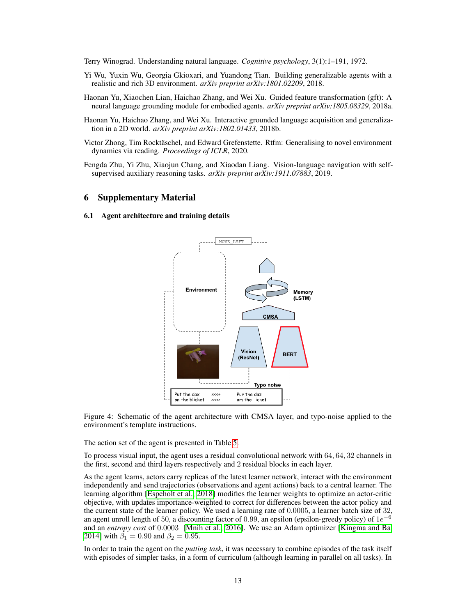<span id="page-12-0"></span>Terry Winograd. Understanding natural language. *Cognitive psychology*, 3(1):1–191, 1972.

- Yi Wu, Yuxin Wu, Georgia Gkioxari, and Yuandong Tian. Building generalizable agents with a realistic and rich 3D environment. *arXiv preprint arXiv:1801.02209*, 2018.
- <span id="page-12-3"></span>Haonan Yu, Xiaochen Lian, Haichao Zhang, and Wei Xu. Guided feature transformation (gft): A neural language grounding module for embodied agents. *arXiv preprint arXiv:1805.08329*, 2018a.
- <span id="page-12-2"></span>Haonan Yu, Haichao Zhang, and Wei Xu. Interactive grounded language acquisition and generalization in a 2D world. *arXiv preprint arXiv:1802.01433*, 2018b.
- <span id="page-12-1"></span>Victor Zhong, Tim Rocktäschel, and Edward Grefenstette. Rtfm: Generalising to novel environment dynamics via reading. *Proceedings of ICLR*, 2020.
- <span id="page-12-4"></span>Fengda Zhu, Yi Zhu, Xiaojun Chang, and Xiaodan Liang. Vision-language navigation with selfsupervised auxiliary reasoning tasks. *arXiv preprint arXiv:1911.07883*, 2019.

# 6 Supplementary Material

#### 6.1 Agent architecture and training details



Figure 4: Schematic of the agent architecture with CMSA layer, and typo-noise applied to the environment's template instructions.

The action set of the agent is presented in Table [5.](#page-13-0)

To process visual input, the agent uses a residual convolutional network with 64, 64, 32 channels in the first, second and third layers respectively and 2 residual blocks in each layer.

As the agent learns, actors carry replicas of the latest learner network, interact with the environment independently and send trajectories (observations and agent actions) back to a central learner. The learning algorithm [\[Espeholt et al., 2018\]](#page-10-6) modifies the learner weights to optimize an actor-critic objective, with updates importance-weighted to correct for differences between the actor policy and the current state of the learner policy. We used a learning rate of 0.0005, a learner batch size of 32, an agent unroll length of 50, a discounting factor of 0.99, an epsilon (epsilon-greedy policy) of  $1e^{-6}$ and an *entropy cost* of 0.0003 [\[Mnih et al., 2016\]](#page-11-17). We use an Adam optimizer [\[Kingma and Ba,](#page-10-16) [2014\]](#page-10-16) with  $\beta_1 = 0.90$  and  $\beta_2 = 0.95$ .

In order to train the agent on the *putting task*, it was necessary to combine episodes of the task itself with episodes of simpler tasks, in a form of curriculum (although learning in parallel on all tasks). In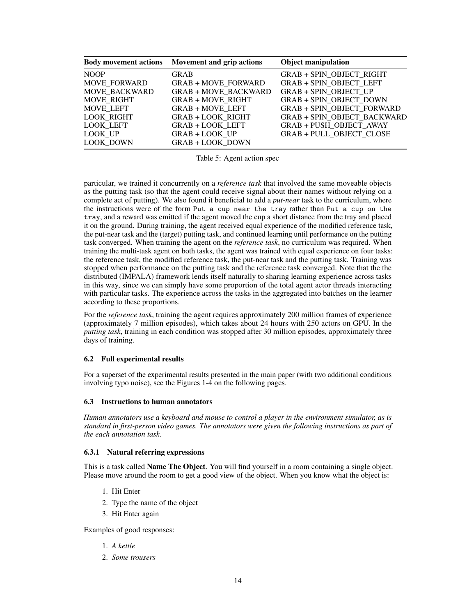<span id="page-13-0"></span>

|                     | Body movement actions Movement and grip actions | <b>Object manipulation</b>         |
|---------------------|-------------------------------------------------|------------------------------------|
| <b>NOOP</b>         | <b>GRAB</b>                                     | GRAB + SPIN_OBJECT_RIGHT           |
| <b>MOVE FORWARD</b> | <b>GRAB + MOVE FORWARD</b>                      | <b>GRAB + SPIN OBJECT LEFT</b>     |
| MOVE BACKWARD       | <b>GRAB + MOVE BACKWARD</b>                     | <b>GRAB + SPIN OBJECT UP</b>       |
| MOVE RIGHT          | <b>GRAB + MOVE RIGHT</b>                        | <b>GRAB + SPIN OBJECT DOWN</b>     |
| MOVE LEFT           | <b>GRAB + MOVE LEFT</b>                         | <b>GRAB + SPIN OBJECT FORWARD</b>  |
| <b>LOOK RIGHT</b>   | <b>GRAB + LOOK RIGHT</b>                        | <b>GRAB + SPIN OBJECT BACKWARD</b> |
| LOOK LEFT           | <b>GRAB + LOOK LEFT</b>                         | <b>GRAB + PUSH OBJECT AWAY</b>     |
| LOOK UP             | <b>GRAB + LOOK UP</b>                           | <b>GRAB + PULL OBJECT CLOSE</b>    |
| <b>LOOK DOWN</b>    | <b>GRAB + LOOK DOWN</b>                         |                                    |

Table 5: Agent action spec

particular, we trained it concurrently on a *reference task* that involved the same moveable objects as the putting task (so that the agent could receive signal about their names without relying on a complete act of putting). We also found it beneficial to add a *put-near* task to the curriculum, where the instructions were of the form Put a cup near the tray rather than Put a cup on the tray, and a reward was emitted if the agent moved the cup a short distance from the tray and placed it on the ground. During training, the agent received equal experience of the modified reference task, the put-near task and the (target) putting task, and continued learning until performance on the putting task converged. When training the agent on the *reference task*, no curriculum was required. When training the multi-task agent on both tasks, the agent was trained with equal experience on four tasks: the reference task, the modified reference task, the put-near task and the putting task. Training was stopped when performance on the putting task and the reference task converged. Note that the the distributed (IMPALA) framework lends itself naturally to sharing learning experience across tasks in this way, since we can simply have some proportion of the total agent actor threads interacting with particular tasks. The experience across the tasks in the aggregated into batches on the learner according to these proportions.

For the *reference task*, training the agent requires approximately 200 million frames of experience (approximately 7 million episodes), which takes about 24 hours with 250 actors on GPU. In the *putting task*, training in each condition was stopped after 30 million episodes, approximately three days of training.

# 6.2 Full experimental results

For a superset of the experimental results presented in the main paper (with two additional conditions involving typo noise), see the Figures 1-4 on the following pages.

## 6.3 Instructions to human annotators

*Human annotators use a keyboard and mouse to control a player in the environment simulator, as is standard in first-person video games. The annotators were given the following instructions as part of the each annotation task.*

## 6.3.1 Natural referring expressions

This is a task called Name The Object. You will find yourself in a room containing a single object. Please move around the room to get a good view of the object. When you know what the object is:

- 1. Hit Enter
- 2. Type the name of the object
- 3. Hit Enter again

Examples of good responses:

- 1. *A kettle*
- 2. *Some trousers*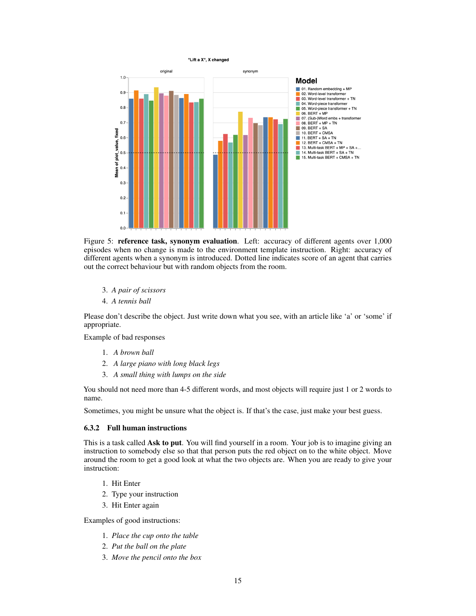

Figure 5: reference task, synonym evaluation. Left: accuracy of different agents over 1,000 episodes when no change is made to the environment template instruction. Right: accuracy of different agents when a synonym is introduced. Dotted line indicates score of an agent that carries out the correct behaviour but with random objects from the room.

- 3. *A pair of scissors*
- 4. *A tennis ball*

Please don't describe the object. Just write down what you see, with an article like 'a' or 'some' if appropriate.

Example of bad responses

- 1. *A brown ball*
- 2. *A large piano with long black legs*
- 3. *A small thing with lumps on the side*

You should not need more than 4-5 different words, and most objects will require just 1 or 2 words to name.

Sometimes, you might be unsure what the object is. If that's the case, just make your best guess.

## 6.3.2 Full human instructions

This is a task called Ask to put. You will find yourself in a room. Your job is to imagine giving an instruction to somebody else so that that person puts the red object on to the white object. Move around the room to get a good look at what the two objects are. When you are ready to give your instruction:

- 1. Hit Enter
- 2. Type your instruction
- 3. Hit Enter again

Examples of good instructions:

- 1. *Place the cup onto the table*
- 2. *Put the ball on the plate*
- 3. *Move the pencil onto the box*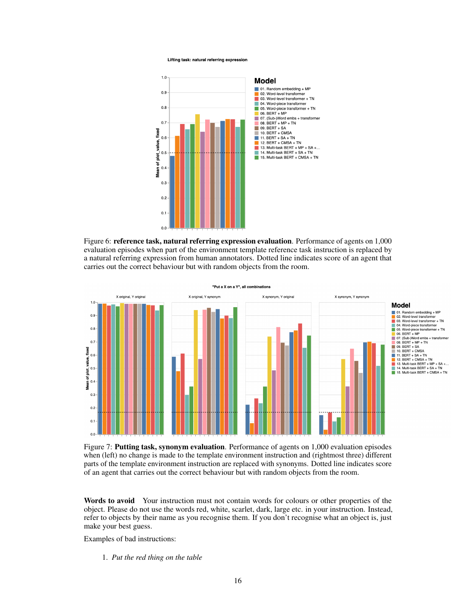Lifting task: natural referring expression



Figure 6: reference task, natural referring expression evaluation. Performance of agents on 1,000 evaluation episodes when part of the environment template reference task instruction is replaced by a natural referring expression from human annotators. Dotted line indicates score of an agent that carries out the correct behaviour but with random objects from the room.



Figure 7: Putting task, synonym evaluation. Performance of agents on 1,000 evaluation episodes when (left) no change is made to the template environment instruction and (rightmost three) different parts of the template environment instruction are replaced with synonyms. Dotted line indicates score of an agent that carries out the correct behaviour but with random objects from the room.

Words to avoid Your instruction must not contain words for colours or other properties of the object. Please do not use the words red, white, scarlet, dark, large etc. in your instruction. Instead, refer to objects by their name as you recognise them. If you don't recognise what an object is, just make your best guess.

Examples of bad instructions:

1. *Put the red thing on the table*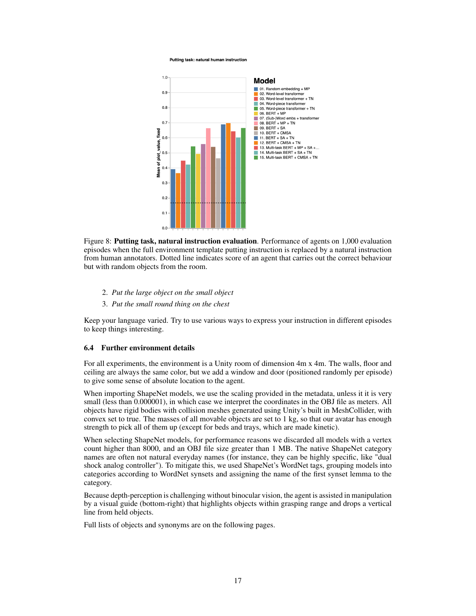Putting task: natural human instruction



Figure 8: Putting task, natural instruction evaluation. Performance of agents on 1,000 evaluation episodes when the full environment template putting instruction is replaced by a natural instruction from human annotators. Dotted line indicates score of an agent that carries out the correct behaviour but with random objects from the room.

- 2. *Put the large object on the small object*
- 3. *Put the small round thing on the chest*

Keep your language varied. Try to use various ways to express your instruction in different episodes to keep things interesting.

#### 6.4 Further environment details

For all experiments, the environment is a Unity room of dimension 4m x 4m. The walls, floor and ceiling are always the same color, but we add a window and door (positioned randomly per episode) to give some sense of absolute location to the agent.

When importing ShapeNet models, we use the scaling provided in the metadata, unless it it is very small (less than 0.000001), in which case we interpret the coordinates in the OBJ file as meters. All objects have rigid bodies with collision meshes generated using Unity's built in MeshCollider, with convex set to true. The masses of all movable objects are set to 1 kg, so that our avatar has enough strength to pick all of them up (except for beds and trays, which are made kinetic).

When selecting ShapeNet models, for performance reasons we discarded all models with a vertex count higher than 8000, and an OBJ file size greater than 1 MB. The native ShapeNet category names are often not natural everyday names (for instance, they can be highly specific, like "dual shock analog controller"). To mitigate this, we used ShapeNet's WordNet tags, grouping models into categories according to WordNet synsets and assigning the name of the first synset lemma to the category.

Because depth-perception is challenging without binocular vision, the agent is assisted in manipulation by a visual guide (bottom-right) that highlights objects within grasping range and drops a vertical line from held objects.

Full lists of objects and synonyms are on the following pages.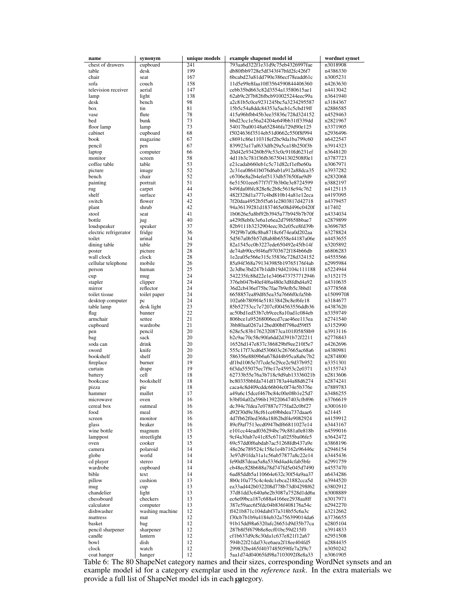| name                     | synonym                     | unique models | example shapenet model id                                            | wordnet synset       |
|--------------------------|-----------------------------|---------------|----------------------------------------------------------------------|----------------------|
| chest of drawers         | cupboard                    | 241           | 793aa6d322f1e31d9c75eb4326997fae                                     | n3018908             |
| table                    | desk                        | 199           | db80fbb9728e5df343f47bfd2fc426f7                                     | n4386330             |
| chair<br>sofa            | seat<br>couch               | 167<br>158    | 6bcabd23a81dd790e386ecf78eadd61c<br>11d5e99e8faa10ff3564590844406360 | n3005231<br>n4263630 |
| television receiver      | aerial                      | 147           | cebb35bd663c82d3554a13580615ae1                                      | n4413042             |
| lamp                     | light                       | 138           | 62ab9c2f7b826fbcb910025244eec99a                                     | n3641940             |
| desk                     | bench                       | 98            | a2c81b5c0ce9231245bc5a3234295587                                     | n3184367             |
| box                      | tin                         | 81            | 15b5c54a8ddc84353a5acb1c5cbd19ff                                     | n2886585             |
| vase                     | flute                       | 78            | 415a96bfbb45b3ee35836c728d324152                                     | n4529463             |
| bed                      | bunk                        | 73            | bbd23cc1e56a24204e649bb31ff339dd                                     | n2821967             |
| floor lamp               | lamp                        | 73<br>68      | 54017ba00148a652846fa729d90e125                                      | n3371905<br>n2936496 |
| cabinet<br>book          | cupboard<br>magazine        | 67            | f5024636f3514eb51d0662c550f8f994<br>c8691c86e110318ef2bc9da1ba799c60 | n6422547             |
| pencil                   | pen                         | 67            | 839923a17af633dfb29a5ca18b250f3b                                     | n3914323             |
| laptop                   | computer                    | 66            | 20d42e934260b59c53c0c910fd6231ef                                     | n3648120             |
| monitor                  | screen                      | 58            | 4d11b3c781f36fb3675041302508f0e1                                     | n3787723             |
| coffee table             | table                       | 53            | e21cadab660eb1c5c71d82cf1efbe60a                                     | n3067971             |
| picture                  | image                       | 52            | 2c31ea08641b076d6ab1a912a88dca35                                     | n3937282             |
| bench                    | chair                       | 52            | c6706e8a2b4efef5133db57650fae9d9                                     | n2832068             |
| painting                 | portrait                    | 51            | 6e51501eee677f7f73b3b0e3e8724599                                     | n3882197             |
| rug                      | carpet                      | 44            | b49fda0f6fc828e8c2b8c5618e94c762                                     | n4125115             |
| shelf                    | surface<br>flower           | 43<br>42      | 482f328d1a777c4bd810b14a81e12eca<br>7f20daa4952b5f5a61e2803817d42718 | n4197095<br>n4379457 |
| switch<br>plant          | shrub                       | 42            | 94a36139281d1837465e08d496c0420f                                     | n17402               |
| stool                    | seat                        | 41            | 1b0626e5a8bf92b3945a77b945b7b70f                                     | n4334034             |
| bottle                   | jug                         | 40            | a429f8eb0c3e6a1e6ea2d79f658bbae7                                     | n2879899             |
| loudspeaker              | speaker                     | 37            | 82b9111b3232904eec3b2e05ce8fd39b                                     | n3696785             |
| electric refrigerator    | fridge                      | 36            | 392f9b7a08c8ba8718c6f74ea0d202aa                                     | n3278824             |
| toilet                   | urinal                      | 34            | 5d567a0b5b57d8ab8b6558e44187a06e                                     | n4453655             |
| dining table             | table                       | 29            | 82a1545cc0b3227ede650492e45fb14f                                     | n3205892             |
| poster                   | picture                     | 28            | de74ab90cc9f46af9703672f184b66db                                     | n6806283             |
| wall clock               | clock                       | 28            | 1e2ea05e566e315c35836c728d324152                                     | n4555566             |
| cellular telephone       | mobile                      | 26<br>25      | 85a94f368a791343985b19765176f4ab                                     | n2995984             |
| person<br>cup            | human<br>mug                | 24            | 2c3dbe3bd247b1ddb19d42104c111188<br>542235fc88d22e1e3406473757712946 | n5224944<br>n3152175 |
| stapler                  | clipper                     | 24            | 376eb047b40ef4f6a480e3d8fdbd4a92                                     | n4310635             |
| mirror                   | reflector                   | 24            | 36d2cb436ef75bc7fae7b9efb5c3bbd1                                     | n3778568             |
| toilet tissue            | toilet paper                | 24            | 6658857ea89df65ea35a7666f0cfa5bb                                     | n15099708            |
| desktop computer         | pc                          | 24            | 102a6b7809f4e51813842bc8ef6fe18                                      | n3184677             |
| table lamp               | desk light                  | 23            | 85b52753cc7e7207cf004563556ddb36                                     | n4387620             |
| flag                     | banner                      | 22            | ac50bd1ed53b7cb9cec8a10ad1c084eb                                     | n3359749             |
| armchair                 | settee                      | 21            | 806bce1a95268006ecd7cae46ee113ea                                     | n2741540             |
| cupboard                 | wardrobe<br>pencil          | 21<br>20      | 3bb80aa0267a12bed00bff798ed59ff5<br>628e5c83b1762320873ca101f05858b9 | n3152990<br>n3913116 |
| pen<br>bag               | sack                        | 20            | b2c9ac70c58c90fa6dd2d391b72f2211                                     | n2776843             |
| soda can                 | drink                       | 20            | 16526d147e837c386829bf9ee210f5e7                                     | n4262696             |
| sword                    | knife                       | 20            | 555c17f73cd6d530603c267665ac68a6                                     | n4380981             |
| bookshelf                | shelf                       | 20            | 586356e8809b6a678d44b95ca8abc7b2                                     | n2874800             |
| fireplace                | burner                      | 19            | df1bd1065e7f7cde5e29ce2c9d37b952                                     | n3351301             |
| curtain                  | drape                       | 19            | 6f3da555075ec7f9e17e45953c2e0371                                     | n3155743             |
| battery                  | cell<br>bookshelf           | 18            | 62733b55e76a3b718c9d9ab13336021b                                     | n2813606             |
| bookcase<br>pizza        | pie                         | 18<br>18      | bc80335bbfda741df1783a44a88d6274<br>caca4c8d409cddc66b04c0f74e5b376e | n2874241<br>n7889783 |
| hammer                   | mallet                      | 17            | a49a6c15dcef467bc84c00e08b1e25d7                                     | n3486255             |
| microwave                | oven                        | 16            | b3bf04a02a596b139220647403cfb896                                     | n3766619             |
| cereal box               | oatmeal                     | 16            | dc394c7fdea7e07887e775fad2c0bf27                                     | n3001610             |
| food                     | meal                        | 16            | d92f30d9e38cf61ce69bbdea737daae6                                     | n21445               |
| screen                   | monitor                     | 16            | 4d7fb62f0ed368a18f62bdf4e9082924                                     | n4159912             |
| glass                    | beaker                      | 16            | 89cf9af7513ecd0947bdf66811027e14                                     | n3443167             |
| wine bottle              | magnum                      | 15            | e101cc44ead036294bc79c881a0e818b                                     | n4599016             |
| lamppost                 | streetlight                 | 15<br>15      | 9cf4a30ab7e41c85c671a0255ba06fe5                                     | n3642472             |
| oven<br>camera           | cooker<br>polaroid          | 14            | 69c57dd0f6abdab7ac51268fdb437a9e<br>48e26e789524c158e1e4b7162e96446c | n3868196<br>n2946154 |
| globe                    | world                       | 14            | 3e97d91fda31a1c56ab57877a8c22e14                                     | n3445436             |
| cd player                | stereo                      | 14            | fe90d87deaa5a8a5336d4ad4cfab5bfe                                     | n2991759             |
| wardrobe                 | cupboard                    | 14            | cb48ec828b688a78d747fd5e045d7490                                     | n4557470             |
| bible                    | text                        | 14            | 6ad85ddb5a110664e632c30f54a9aa37                                     | n6434286             |
| pillow                   | cushion                     | 13            | 8b0c10a775c4c4edc1ebca21882cca5d                                     | n3944520             |
| mug                      | cup                         | 13            | ea33ad442b032208d778b73d04298f62                                     | n3802912             |
| chandelier               | light                       | 13            | 37d81dd3c640a6e2b3087a7528d1dd6a                                     | n3008889             |
| chessboard               | checkers                    | 13            | ec6e09bca187c688a4166ee2938aa8ff                                     | n3017971             |
| calculator<br>dishwasher | computer<br>washing machine | 13<br>12      | 387e59aec6f5fdc04b836f408176a54c<br>ff421b871c104dabf37a318b55c6a3c  | n2942270<br>n3212662 |
| mattress                 | mat                         | 12            | f30cb7b1b9a4184eb32a756399014da6                                     | n3736655             |
| basket                   | bag                         | 12            | 91b15dd98a6320afc26651d9d35b77ca                                     | n2805104             |
| pencil sharpener         | sharpener                   | 12            | 287b8f5f679b8e8ecf01bc59d215f0                                       | n3914833             |
| candle                   | lantern                     | 12            | cf1b637d9c8c30da1c637e821f12a67                                      | n2951508             |
| bowl                     | dish                        | 12            | 594b22f21daf33ce6aea2f18ee404fd5                                     | n2884435             |
| clock                    | watch                       | 12            | 299832be465f4037485059ffe7a2f9c7                                     | n3050242             |
| coat hanger              | hanger                      | 12            | 5aa1d74d04065fd98a7103092f8e8a33                                     | n3061905             |

coat hanger | hanger | 12 | 5aa1d74d04065fd98a7103092f8e8a33 | n3061905<br>Table 6: The 80 ShapeNet category names and their sizes, corresponding WordNet synsets and an example model id for a category exemplar used in the *reference task*. In the extra materials we provide a full list of ShapeNet model ids in each pategory.